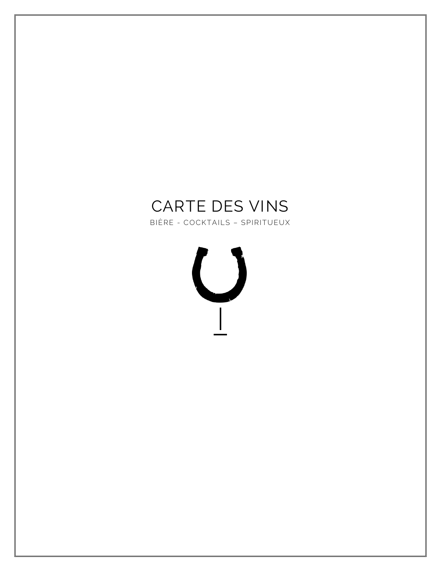# CARTE DES VINS

BIÈRE - COCKTAILS - SPIRITUEUX

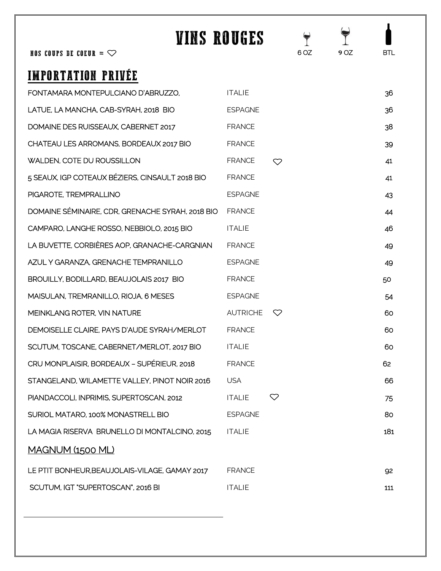| NOS COUPS DE COEUR = $\heartsuit$                | VINS ROUGES     |              | $\blacklozenge$<br>6 OZ | 9 OZ | BTL. |
|--------------------------------------------------|-----------------|--------------|-------------------------|------|------|
|                                                  |                 |              |                         |      |      |
| IMPORTATION PRIVÉE                               |                 |              |                         |      |      |
| FONTAMARA MONTEPULCIANO D'ABRUZZO.               | <b>ITALIE</b>   |              |                         |      | 36   |
| LATUE, LA MANCHA, CAB-SYRAH, 2018 BIO            | <b>ESPAGNE</b>  |              |                         |      | 36   |
| DOMAINE DES RUISSEAUX, CABERNET 2017             | <b>FRANCE</b>   |              |                         |      | 38   |
| CHATEAU LES ARROMANS, BORDEAUX 2017 BIO          | <b>FRANCE</b>   |              |                         |      | 39   |
| <b>WALDEN, COTE DU ROUSSILLON</b>                | <b>FRANCE</b>   | ♡            |                         |      | 41   |
| 5 SEAUX, IGP COTEAUX BÉZIERS, CINSAULT 2018 BIO  | <b>FRANCE</b>   |              |                         |      | 41   |
| PIGAROTE, TREMPRALLINO                           | <b>ESPAGNE</b>  |              |                         |      | 43   |
| DOMAINE SÉMINAIRE, CDR, GRENACHE SYRAH, 2018 BIO | <b>FRANCE</b>   |              |                         |      | 44   |
| CAMPARO, LANGHE ROSSO, NEBBIOLO, 2015 BIO        | <b>ITALIE</b>   |              |                         |      | 46   |
| LA BUVETTE, CORBIÈRES AOP, GRANACHE-CARGNIAN     | <b>FRANCE</b>   |              |                         |      | 49   |
| AZUL Y GARANZA, GRENACHE TEMPRANILLO             | <b>ESPAGNE</b>  |              |                         |      | 49   |
| BROUILLY, BODILLARD, BEAUJOLAIS 2017 BIO         | <b>FRANCE</b>   |              |                         |      | 50   |
| MAISULAN, TREMRANILLO, RIOJA, 6 MESES            | <b>ESPAGNE</b>  |              |                         |      | 54   |
| MEINKLANG ROTER, VIN NATURE                      | <b>AUTRICHE</b> | $\heartsuit$ |                         |      | 60   |
| DEMOISELLE CLAIRE, PAYS D'AUDE SYRAH/MERLOT      | <b>FRANCE</b>   |              |                         |      | 60   |
| SCUTUM, TOSCANE, CABERNET/MERLOT, 2017 BIO       | <b>ITALIE</b>   |              |                         |      | 60   |
| CRU MONPLAISIR, BORDEAUX - SUPÉRIEUR, 2018       | <b>FRANCE</b>   |              |                         |      | 62   |
| STANGELAND, WILAMETTE VALLEY, PINOT NOIR 2016    | <b>USA</b>      |              |                         |      | 66   |
| PIANDACCOLI, INPRIMIS, SUPERTOSCAN, 2012         | <b>ITALIE</b>   | $\heartsuit$ |                         |      | 75   |
| SURIOL MATARO, 100% MONASTRELL BIO               | <b>ESPAGNE</b>  |              |                         |      | 80   |
| LA MAGIA RISERVA BRUNELLO DI MONTALCINO, 2015    | <b>ITALIE</b>   |              |                         |      | 181  |
| <u>MAGNUM (1500 ML)</u>                          |                 |              |                         |      |      |
| LE PTIT BONHEUR, BEAUJOLAIS-VILAGE, GAMAY 2017   | <b>FRANCE</b>   |              |                         |      | 92   |
| SCUTUM, IGT "SUPERTOSCAN", 2016 BI               | <b>ITALIE</b>   |              |                         |      | 111  |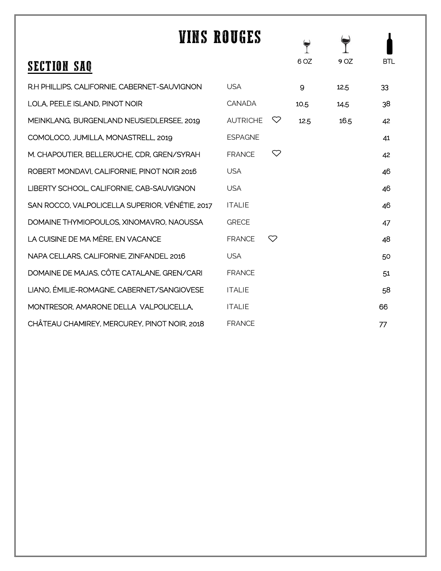| VINS ROUGES                                     |                 |    |      |      |            |
|-------------------------------------------------|-----------------|----|------|------|------------|
| <b>SECTION SAQ</b>                              |                 |    | 6 OZ | 9 OZ | <b>BTL</b> |
| R.H PHILLIPS, CALIFORNIE, CABERNET-SAUVIGNON    | <b>USA</b>      |    | 9    | 12.5 | 33         |
| LOLA, PEELE ISLAND, PINOT NOIR                  | <b>CANADA</b>   |    | 10.5 | 14.5 | 38         |
| MEINKLANG, BURGENLAND NEUSIEDLERSEE, 2019       | <b>AUTRICHE</b> | ▽  | 12.5 | 16.5 | 42         |
| COMOLOCO, JUMILLA, MONASTRELL, 2019             | <b>ESPAGNE</b>  |    |      |      | 41         |
| M. CHAPOUTIER, BELLERUCHE, CDR, GREN/SYRAH      | <b>FRANCE</b>   | 52 |      |      | 42         |
| ROBERT MONDAVI, CALIFORNIE, PINOT NOIR 2016     | <b>USA</b>      |    |      |      | 46         |
| LIBERTY SCHOOL, CALIFORNIE, CAB-SAUVIGNON       | <b>USA</b>      |    |      |      | 46         |
| SAN ROCCO, VALPOLICELLA SUPERIOR, VÉNÉTIE, 2017 | <b>ITALIE</b>   |    |      |      | 46         |
| DOMAINE THYMIOPOULOS, XINOMAVRO, NAOUSSA        | <b>GRECE</b>    |    |      |      | 47         |
| LA CUISINE DE MA MÈRE. EN VACANCE               | <b>FRANCE</b>   | ♡  |      |      | 48         |
| NAPA CELLARS, CALIFORNIE, ZINFANDEL 2016        | <b>USA</b>      |    |      |      | 50         |
| DOMAINE DE MAJAS, CÔTE CATALANE, GREN/CARI      | <b>FRANCE</b>   |    |      |      | 51         |
| LIANO. ÉMILIE-ROMAGNE, CABERNET/SANGIOVESE      | <b>ITALIE</b>   |    |      |      | 58         |
| MONTRESOR, AMARONE DELLA VALPOLICELLA,          | <b>ITALIE</b>   |    |      |      | 66         |
| CHÂTEAU CHAMIREY, MERCUREY, PINOT NOIR, 2018    | <b>FRANCE</b>   |    |      |      | 77         |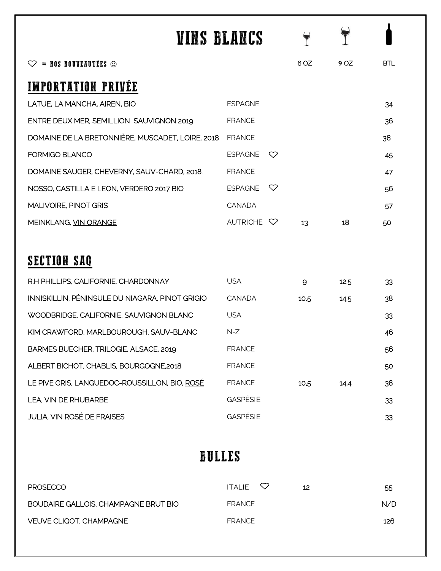| VINS BLANCS                                      |                       |     |      |      |            |
|--------------------------------------------------|-----------------------|-----|------|------|------------|
| $=$ NOS NOUVEAUTÉES $\odot$                      |                       |     | 6 OZ | 9 OZ | <b>BTL</b> |
| <b>IMPORTATION PRIVEE</b>                        |                       |     |      |      |            |
| LATUE, LA MANCHA, AIREN, BIO                     | <b>ESPAGNE</b>        |     |      |      | 34         |
| ENTRE DEUX MER, SEMILLION SAUVIGNON 2019         | <b>FRANCE</b>         |     |      |      | 36         |
| DOMAINE DE LA BRETONNIÈRE, MUSCADET, LOIRE, 2018 | <b>FRANCE</b>         |     |      |      | 38         |
| <b>FORMIGO BLANCO</b>                            | <b>ESPAGNE</b>        | 82  |      |      | 45         |
| DOMAINE SAUGER, CHEVERNY, SAUV-CHARD, 2018.      | <b>FRANCE</b>         |     |      |      | 47         |
| NOSSO, CASTILLA E LEON, VERDERO 2017 BIO         | <b>ESPAGNE</b>        | \`2 |      |      | 56         |
| <b>MALIVOIRE, PINOT GRIS</b>                     | <b>CANADA</b>         |     |      |      | 57         |
| MEINKLANG, VIN ORANGE                            | AUTRICHE $\heartsuit$ |     | 13   | 18   | 50         |
|                                                  |                       |     |      |      |            |
| <b>SECTION SAQ</b>                               |                       |     |      |      |            |
| R.H PHILLIPS, CALIFORNIE, CHARDONNAY             | <b>USA</b>            |     | 9    | 12.5 | 33         |
| INNISKILLIN. PÉNINSULE DU NIAGARA, PINOT GRIGIO  | CANADA                |     | 10.5 | 14.5 | 38         |
| WOODBRIDGE, CALIFORNIE, SAUVIGNON BLANC          | <b>USA</b>            |     |      |      | 33         |
| KIM CRAWFORD, MARLBOUROUGH, SAUV-BLANC           | $N-Z$                 |     |      |      | 46         |
| BARMES BUECHER, TRILOGIE, ALSACE, 2019           | <b>FRANCE</b>         |     |      |      | 56         |
| ALBERT BICHOT, CHABLIS, BOURGOGNE,2018           | <b>FRANCE</b>         |     |      |      | 50         |
| LE PIVE GRIS, LANGUEDOC-ROUSSILLON, BIO, ROSÉ    | <b>FRANCE</b>         |     | 10.5 | 14.4 | 38         |
| LEA, VIN DE RHUBARBE                             | <b>GASPÉSIE</b>       |     |      |      | 33         |
| JULIA, VIN ROSÉ DE FRAISES                       | <b>GASPÉSIE</b>       |     |      |      | 33         |

#### BULLES

| <b>PROSECCO</b>                      | ITALIE $\heartsuit$<br>12 | 55  |
|--------------------------------------|---------------------------|-----|
| BOUDAIRE GALLOIS, CHAMPAGNE BRUT BIO | <b>FRANCE</b>             | N/D |
| VEUVE CLIQOT, CHAMPAGNE              | FRANCE                    | 126 |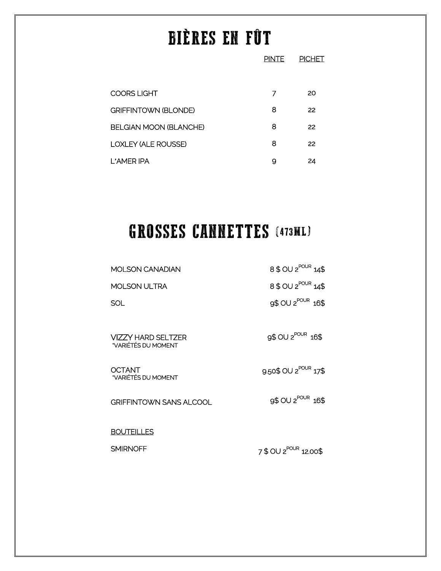# BIÈRES EN FÛT

|                               | <b>PINTE</b> | <b>PICHET</b> |
|-------------------------------|--------------|---------------|
|                               |              |               |
| <b>COORS LIGHT</b>            | 7            | 20            |
| <b>GRIFFINTOWN (BLONDE)</b>   | 8            | 22            |
| <b>BELGIAN MOON (BLANCHE)</b> | 8            | 22            |
| <b>LOXLEY (ALE ROUSSE)</b>    | 8            | 22            |
| L'AMER IPA                    | 9            | 24            |
|                               |              |               |

# GROSSES CANNETTES (473ML)

| <b>MOLSON CANADIAN</b>                    | 8 \$ OU 2 <sup>POUR</sup> 14\$    |
|-------------------------------------------|-----------------------------------|
| <b>MOLSON ULTRA</b>                       | 8 \$ OU 2 <sup>POUR</sup> 14\$    |
| SOL                                       | 9\$ OU 2 <sup>POUR</sup> 16\$     |
| VIZZY HARD SELTZER<br>*VARIÉTÉS DU MOMENT | 9\$ OU 2 <sup>POUR</sup> 16\$     |
| OCTANT<br>*VARIÉTÉS DU MOMENT             | 9.50\$ OU 2 <sup>POUR</sup> 17\$  |
| <b>GRIFFINTOWN SANS ALCOOL</b>            | 9\$ OU 2 <sup>POUR</sup> 16\$     |
| <b>BOUTEILLES</b>                         |                                   |
| <b>SMIRNOFF</b>                           | 7 \$ OU 2 <sup>POUR</sup> 12.00\$ |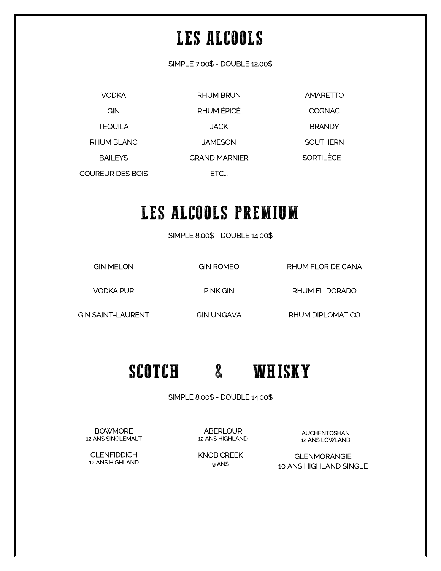## LES ALCOOLS

SIMPLE 7.00\$ - DOUBLE 12.00\$

VODKA **GIN TEQUILA** RHUM BLANC BAILEYS COUREUR DES BOIS RHUM BRUN RHUM ÉPICÉ JACK JAMESON GRAND MARNIER ETC... AMARETTO **COGNAC BRANDY SOUTHERN** SORTILÈGE

### LES ALCOOLS PREMIUM

SIMPLE 8.00\$ - DOUBLE 14.00\$

GIN MELON

GIN ROMEO

RHUM FLOR DE CANA

VODKA PUR

PINK GIN

RHUM EL DORADO

GIN SAINT-LAURENT

GIN UNGAVA

RHUM DIPLOMATICO

### SCOTCH & WHISKY

SIMPLE 8.00\$ - DOUBLE 14.00\$

AUCHENTOSHAN 12 ANS LOWLAND

**ABERLOUR** 12 ANS HIGHLAND

GLENMORANGIE 10 ANS HIGHLAND SINGLE

KNOB CREEK 9 ANS

**BOWMORE** 12 ANS SINGLEMALT

**GLENFIDDICH** 12 ANS HIGHLAND